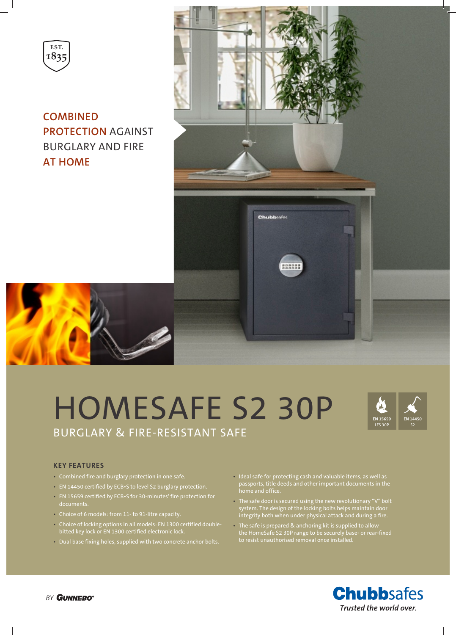

**COMBINED PROTECTION** AGAINST BURGLARY AND FIRE **AT HOME**



# HOMESAFE S2 30P BURGLARY & FIRE-RESISTANT SAFE



### **KEY FEATURES**

- Combined fire and burglary protection in one safe.
- EN 14450 certified by ECB•S to level S2 burglary protection.
- EN 15659 certified by ECB•S for 30-minutes' fire protection for documents.
- Choice of 6 models: from 11- to 91-litre capacity.
- Choice of locking options in all models: EN 1300 certified doublebitted key lock or EN 1300 certified electronic lock.
- Dual base fixing holes, supplied with two concrete anchor bolts.
- Ideal safe for protecting cash and valuable items, as well as passports, title deeds and other important documents in the home and office.
- The safe door is secured using the new revolutionary "V" bolt system. The design of the locking bolts helps maintain door integrity both when under physical attack and during a fire.
- The safe is prepared & anchoring kit is supplied to allow the HomeSafe S2 30P range to be securely base- or rear-fixed to resist unauthorised removal once installed.